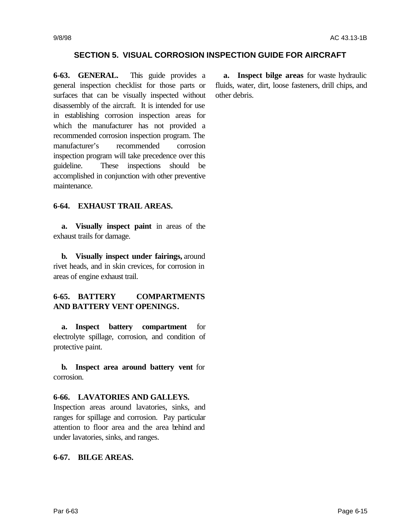## **SECTION 5. VISUAL CORROSION INSPECTION GUIDE FOR AIRCRAFT**

**6-63. GENERAL.** This guide provides a general inspection checklist for those parts or surfaces that can be visually inspected without disassembly of the aircraft. It is intended for use in establishing corrosion inspection areas for which the manufacturer has not provided a recommended corrosion inspection program. The manufacturer's recommended corrosion inspection program will take precedence over this guideline. These inspections should be accomplished in conjunction with other preventive maintenance.

### **6-64. EXHAUST TRAIL AREAS.**

**a. Visually inspect paint** in areas of the exhaust trails for damage.

**b. Visually inspect under fairings,** around rivet heads, and in skin crevices, for corrosion in areas of engine exhaust trail.

# **6-65. BATTERY COMPARTMENTS AND BATTERY VENT OPENINGS.**

**a. Inspect battery compartment** for electrolyte spillage, corrosion, and condition of protective paint.

**b. Inspect area around battery vent** for corrosion.

#### **6-66. LAVATORIES AND GALLEYS.**

Inspection areas around lavatories, sinks, and ranges for spillage and corrosion. Pay particular attention to floor area and the area behind and under lavatories, sinks, and ranges.

## **6-67. BILGE AREAS.**

**a. Inspect bilge areas** for waste hydraulic fluids, water, dirt, loose fasteners, drill chips, and other debris.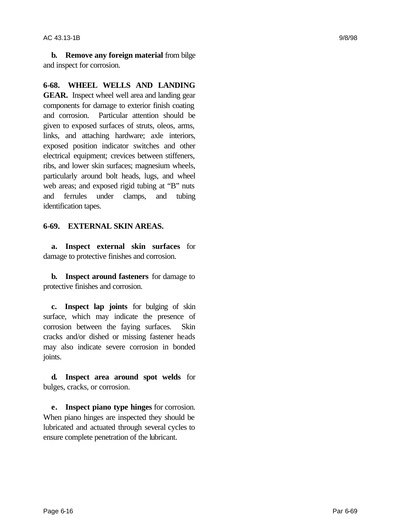**b. Remove any foreign material** from bilge and inspect for corrosion.

**6-68. WHEEL WELLS AND LANDING GEAR.** Inspect wheel well area and landing gear components for damage to exterior finish coating and corrosion. Particular attention should be given to exposed surfaces of struts, oleos, arms, links, and attaching hardware; axle interiors, exposed position indicator switches and other electrical equipment; crevices between stiffeners, ribs, and lower skin surfaces; magnesium wheels, particularly around bolt heads, lugs, and wheel web areas; and exposed rigid tubing at "B" nuts and ferrules under clamps, and tubing identification tapes.

# **6-69. EXTERNAL SKIN AREAS.**

**a. Inspect external skin surfaces** for damage to protective finishes and corrosion.

**b. Inspect around fasteners** for damage to protective finishes and corrosion.

**c. Inspect lap joints** for bulging of skin surface, which may indicate the presence of corrosion between the faying surfaces. Skin cracks and/or dished or missing fastener heads may also indicate severe corrosion in bonded joints.

**d. Inspect area around spot welds** for bulges, cracks, or corrosion.

**e. Inspect piano type hinges** for corrosion. When piano hinges are inspected they should be lubricated and actuated through several cycles to ensure complete penetration of the lubricant.